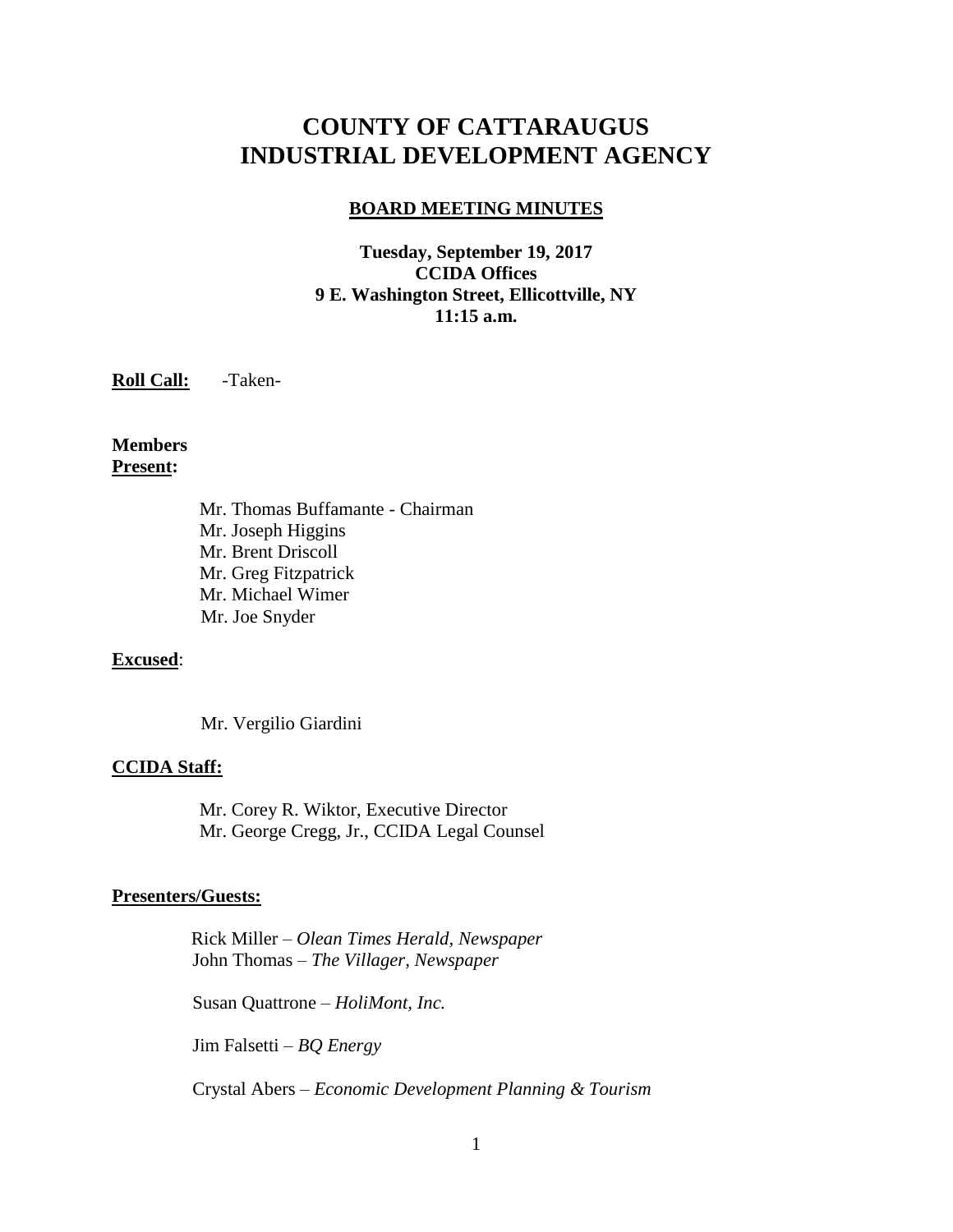# **COUNTY OF CATTARAUGUS INDUSTRIAL DEVELOPMENT AGENCY**

#### **BOARD MEETING MINUTES**

### **Tuesday, September 19, 2017 CCIDA Offices 9 E. Washington Street, Ellicottville, NY 11:15 a.m.**

**Roll Call:** -Taken-

**Members Present:**

> Mr. Thomas Buffamante - Chairman Mr. Joseph Higgins Mr. Brent Driscoll Mr. Greg Fitzpatrick Mr. Michael Wimer Mr. Joe Snyder

#### **Excused**:

Mr. Vergilio Giardini

#### **CCIDA Staff:**

Mr. Corey R. Wiktor, Executive Director Mr. George Cregg, Jr., CCIDA Legal Counsel

#### **Presenters/Guests:**

 Rick Miller – *Olean Times Herald, Newspaper* John Thomas – *The Villager, Newspaper*

Susan Quattrone – *HoliMont, Inc.*

Jim Falsetti – *BQ Energy*

Crystal Abers – *Economic Development Planning & Tourism*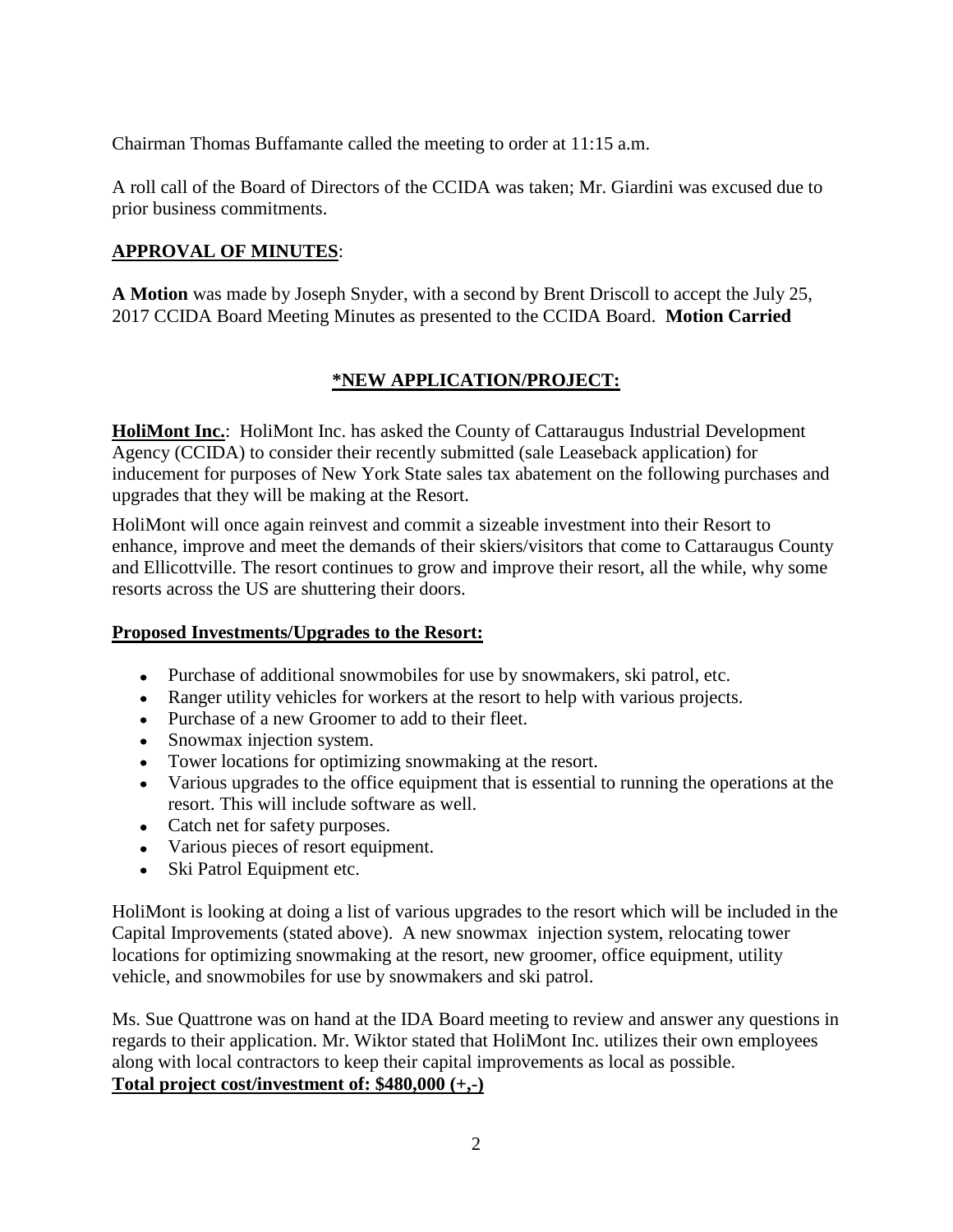Chairman Thomas Buffamante called the meeting to order at 11:15 a.m.

A roll call of the Board of Directors of the CCIDA was taken; Mr. Giardini was excused due to prior business commitments.

# **APPROVAL OF MINUTES**:

**A Motion** was made by Joseph Snyder, with a second by Brent Driscoll to accept the July 25, 2017 CCIDA Board Meeting Minutes as presented to the CCIDA Board. **Motion Carried**

# **\*NEW APPLICATION/PROJECT:**

**HoliMont Inc.**: HoliMont Inc. has asked the County of Cattaraugus Industrial Development Agency (CCIDA) to consider their recently submitted (sale Leaseback application) for inducement for purposes of New York State sales tax abatement on the following purchases and upgrades that they will be making at the Resort.

HoliMont will once again reinvest and commit a sizeable investment into their Resort to enhance, improve and meet the demands of their skiers/visitors that come to Cattaraugus County and Ellicottville. The resort continues to grow and improve their resort, all the while, why some resorts across the US are shuttering their doors.

# **Proposed Investments/Upgrades to the Resort:**

- Purchase of additional snowmobiles for use by snowmakers, ski patrol, etc.
- Ranger utility vehicles for workers at the resort to help with various projects.
- Purchase of a new Groomer to add to their fleet.
- Snowmax injection system.
- Tower locations for optimizing snowmaking at the resort.
- Various upgrades to the office equipment that is essential to running the operations at the resort. This will include software as well.
- Catch net for safety purposes.
- Various pieces of resort equipment.
- Ski Patrol Equipment etc.

HoliMont is looking at doing a list of various upgrades to the resort which will be included in the Capital Improvements (stated above). A new snowmax injection system, relocating tower locations for optimizing snowmaking at the resort, new groomer, office equipment, utility vehicle, and snowmobiles for use by snowmakers and ski patrol.

Ms. Sue Quattrone was on hand at the IDA Board meeting to review and answer any questions in regards to their application. Mr. Wiktor stated that HoliMont Inc. utilizes their own employees along with local contractors to keep their capital improvements as local as possible. **Total project cost/investment of: \$480,000 (+,-)**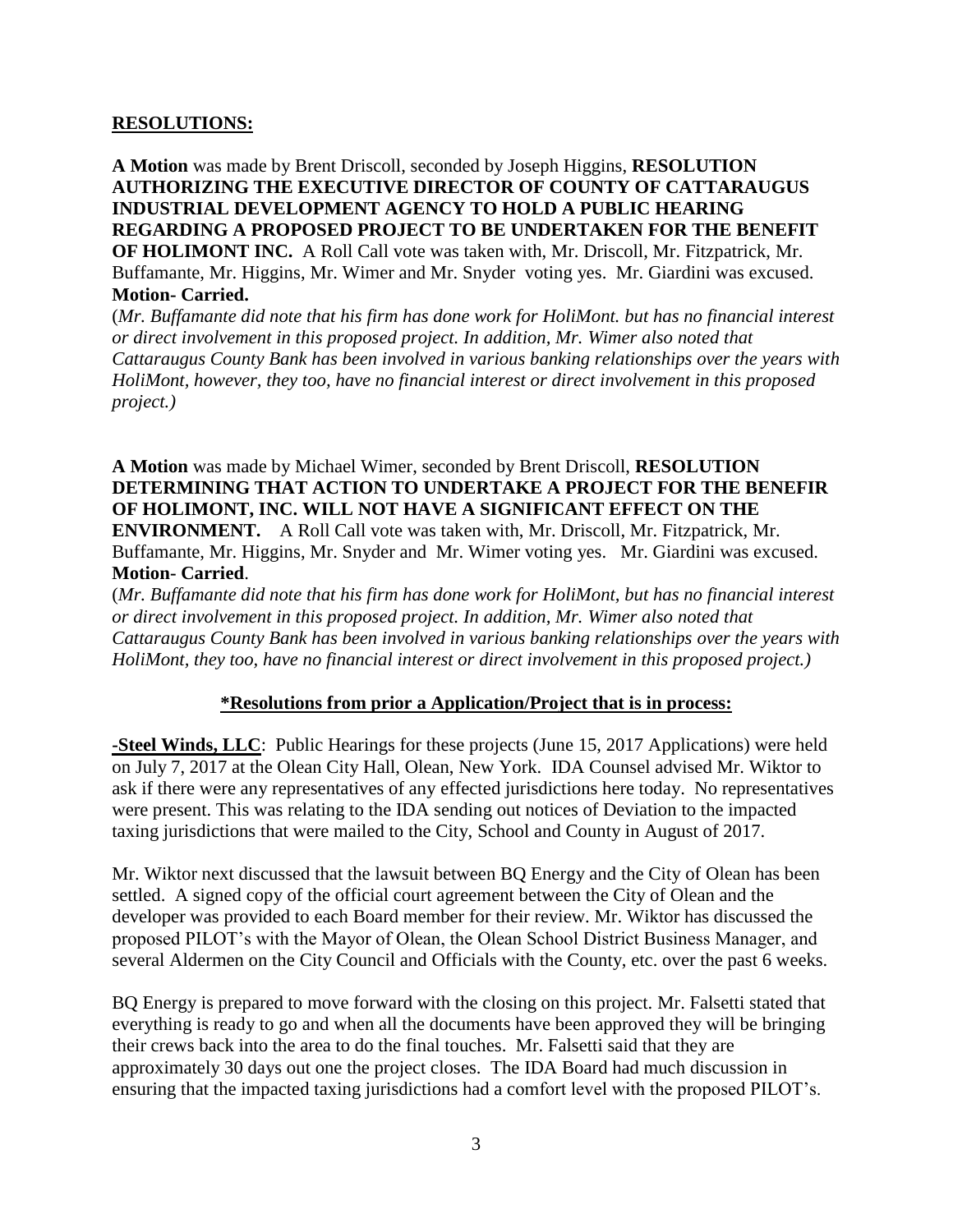#### **RESOLUTIONS:**

**A Motion** was made by Brent Driscoll, seconded by Joseph Higgins, **RESOLUTION AUTHORIZING THE EXECUTIVE DIRECTOR OF COUNTY OF CATTARAUGUS INDUSTRIAL DEVELOPMENT AGENCY TO HOLD A PUBLIC HEARING REGARDING A PROPOSED PROJECT TO BE UNDERTAKEN FOR THE BENEFIT OF HOLIMONT INC.** A Roll Call vote was taken with, Mr. Driscoll, Mr. Fitzpatrick, Mr. Buffamante, Mr. Higgins, Mr. Wimer and Mr. Snyder voting yes. Mr. Giardini was excused. **Motion- Carried.**

(*Mr. Buffamante did note that his firm has done work for HoliMont. but has no financial interest or direct involvement in this proposed project. In addition, Mr. Wimer also noted that Cattaraugus County Bank has been involved in various banking relationships over the years with HoliMont, however, they too, have no financial interest or direct involvement in this proposed project.)*

**A Motion** was made by Michael Wimer, seconded by Brent Driscoll, **RESOLUTION DETERMINING THAT ACTION TO UNDERTAKE A PROJECT FOR THE BENEFIR OF HOLIMONT, INC. WILL NOT HAVE A SIGNIFICANT EFFECT ON THE ENVIRONMENT.** A Roll Call vote was taken with, Mr. Driscoll, Mr. Fitzpatrick, Mr. Buffamante, Mr. Higgins, Mr. Snyder and Mr. Wimer voting yes. Mr. Giardini was excused. **Motion- Carried**.

(*Mr. Buffamante did note that his firm has done work for HoliMont, but has no financial interest or direct involvement in this proposed project. In addition, Mr. Wimer also noted that Cattaraugus County Bank has been involved in various banking relationships over the years with HoliMont, they too, have no financial interest or direct involvement in this proposed project.)*

#### **\*Resolutions from prior a Application/Project that is in process:**

**-Steel Winds, LLC**: Public Hearings for these projects (June 15, 2017 Applications) were held on July 7, 2017 at the Olean City Hall, Olean, New York. IDA Counsel advised Mr. Wiktor to ask if there were any representatives of any effected jurisdictions here today. No representatives were present. This was relating to the IDA sending out notices of Deviation to the impacted taxing jurisdictions that were mailed to the City, School and County in August of 2017.

Mr. Wiktor next discussed that the lawsuit between BQ Energy and the City of Olean has been settled. A signed copy of the official court agreement between the City of Olean and the developer was provided to each Board member for their review. Mr. Wiktor has discussed the proposed PILOT's with the Mayor of Olean, the Olean School District Business Manager, and several Aldermen on the City Council and Officials with the County, etc. over the past 6 weeks.

BQ Energy is prepared to move forward with the closing on this project. Mr. Falsetti stated that everything is ready to go and when all the documents have been approved they will be bringing their crews back into the area to do the final touches. Mr. Falsetti said that they are approximately 30 days out one the project closes. The IDA Board had much discussion in ensuring that the impacted taxing jurisdictions had a comfort level with the proposed PILOT's.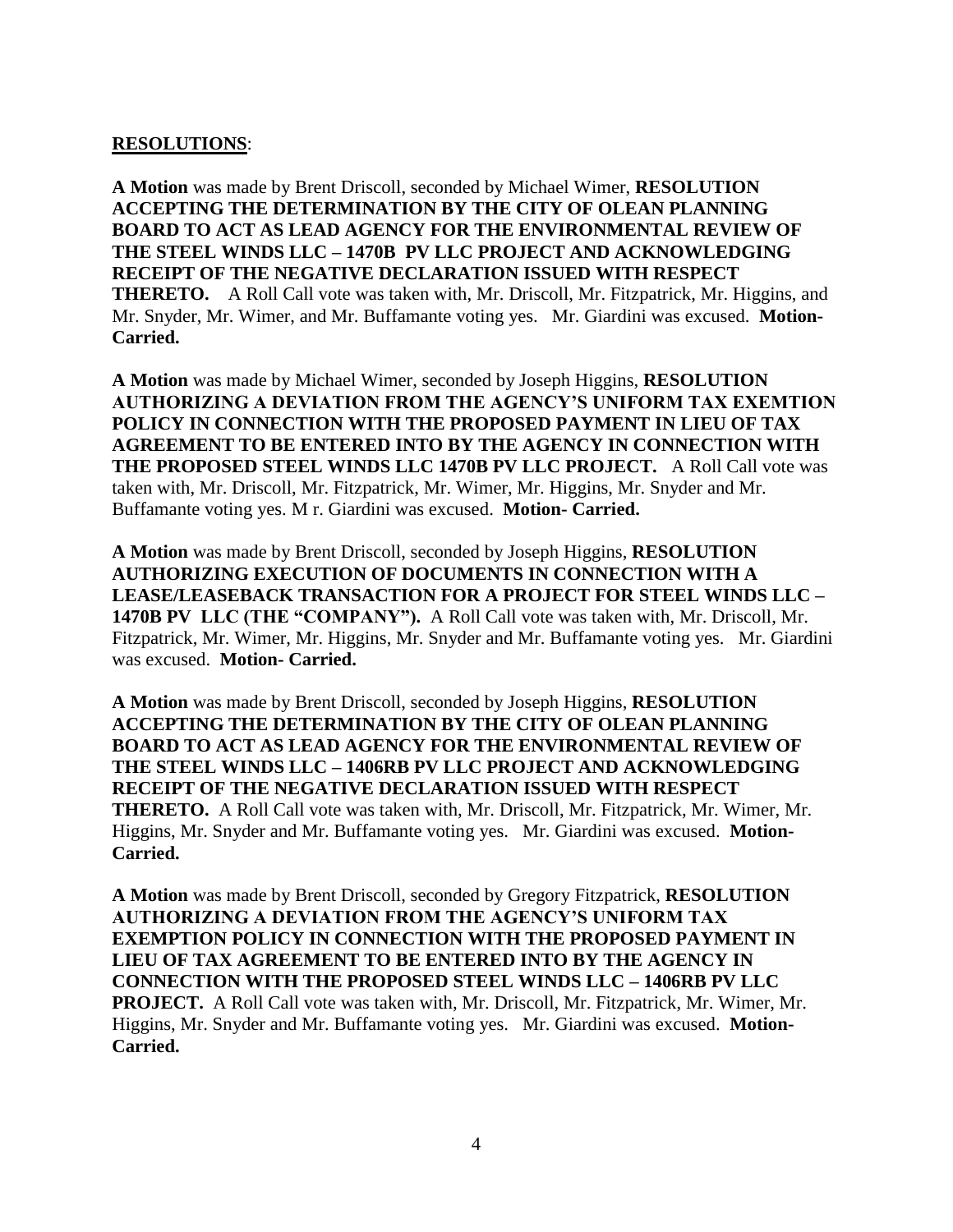#### **RESOLUTIONS**:

**A Motion** was made by Brent Driscoll, seconded by Michael Wimer, **RESOLUTION ACCEPTING THE DETERMINATION BY THE CITY OF OLEAN PLANNING BOARD TO ACT AS LEAD AGENCY FOR THE ENVIRONMENTAL REVIEW OF THE STEEL WINDS LLC – 1470B PV LLC PROJECT AND ACKNOWLEDGING RECEIPT OF THE NEGATIVE DECLARATION ISSUED WITH RESPECT THERETO.** A Roll Call vote was taken with, Mr. Driscoll, Mr. Fitzpatrick, Mr. Higgins, and Mr. Snyder, Mr. Wimer, and Mr. Buffamante voting yes. Mr. Giardini was excused. **Motion-Carried.**

**A Motion** was made by Michael Wimer, seconded by Joseph Higgins, **RESOLUTION AUTHORIZING A DEVIATION FROM THE AGENCY'S UNIFORM TAX EXEMTION POLICY IN CONNECTION WITH THE PROPOSED PAYMENT IN LIEU OF TAX AGREEMENT TO BE ENTERED INTO BY THE AGENCY IN CONNECTION WITH THE PROPOSED STEEL WINDS LLC 1470B PV LLC PROJECT.** A Roll Call vote was taken with, Mr. Driscoll, Mr. Fitzpatrick, Mr. Wimer, Mr. Higgins, Mr. Snyder and Mr. Buffamante voting yes. M r. Giardini was excused. **Motion- Carried.**

**A Motion** was made by Brent Driscoll, seconded by Joseph Higgins, **RESOLUTION AUTHORIZING EXECUTION OF DOCUMENTS IN CONNECTION WITH A LEASE/LEASEBACK TRANSACTION FOR A PROJECT FOR STEEL WINDS LLC – 1470B PV LLC (THE "COMPANY").** A Roll Call vote was taken with, Mr. Driscoll, Mr. Fitzpatrick, Mr. Wimer, Mr. Higgins, Mr. Snyder and Mr. Buffamante voting yes. Mr. Giardini was excused. **Motion- Carried.**

**A Motion** was made by Brent Driscoll, seconded by Joseph Higgins, **RESOLUTION ACCEPTING THE DETERMINATION BY THE CITY OF OLEAN PLANNING BOARD TO ACT AS LEAD AGENCY FOR THE ENVIRONMENTAL REVIEW OF THE STEEL WINDS LLC – 1406RB PV LLC PROJECT AND ACKNOWLEDGING RECEIPT OF THE NEGATIVE DECLARATION ISSUED WITH RESPECT THERETO.** A Roll Call vote was taken with, Mr. Driscoll, Mr. Fitzpatrick, Mr. Wimer, Mr. Higgins, Mr. Snyder and Mr. Buffamante voting yes. Mr. Giardini was excused. **Motion-Carried.**

**A Motion** was made by Brent Driscoll, seconded by Gregory Fitzpatrick, **RESOLUTION AUTHORIZING A DEVIATION FROM THE AGENCY'S UNIFORM TAX EXEMPTION POLICY IN CONNECTION WITH THE PROPOSED PAYMENT IN LIEU OF TAX AGREEMENT TO BE ENTERED INTO BY THE AGENCY IN CONNECTION WITH THE PROPOSED STEEL WINDS LLC – 1406RB PV LLC PROJECT.** A Roll Call vote was taken with, Mr. Driscoll, Mr. Fitzpatrick, Mr. Wimer, Mr. Higgins, Mr. Snyder and Mr. Buffamante voting yes. Mr. Giardini was excused. **Motion-Carried.**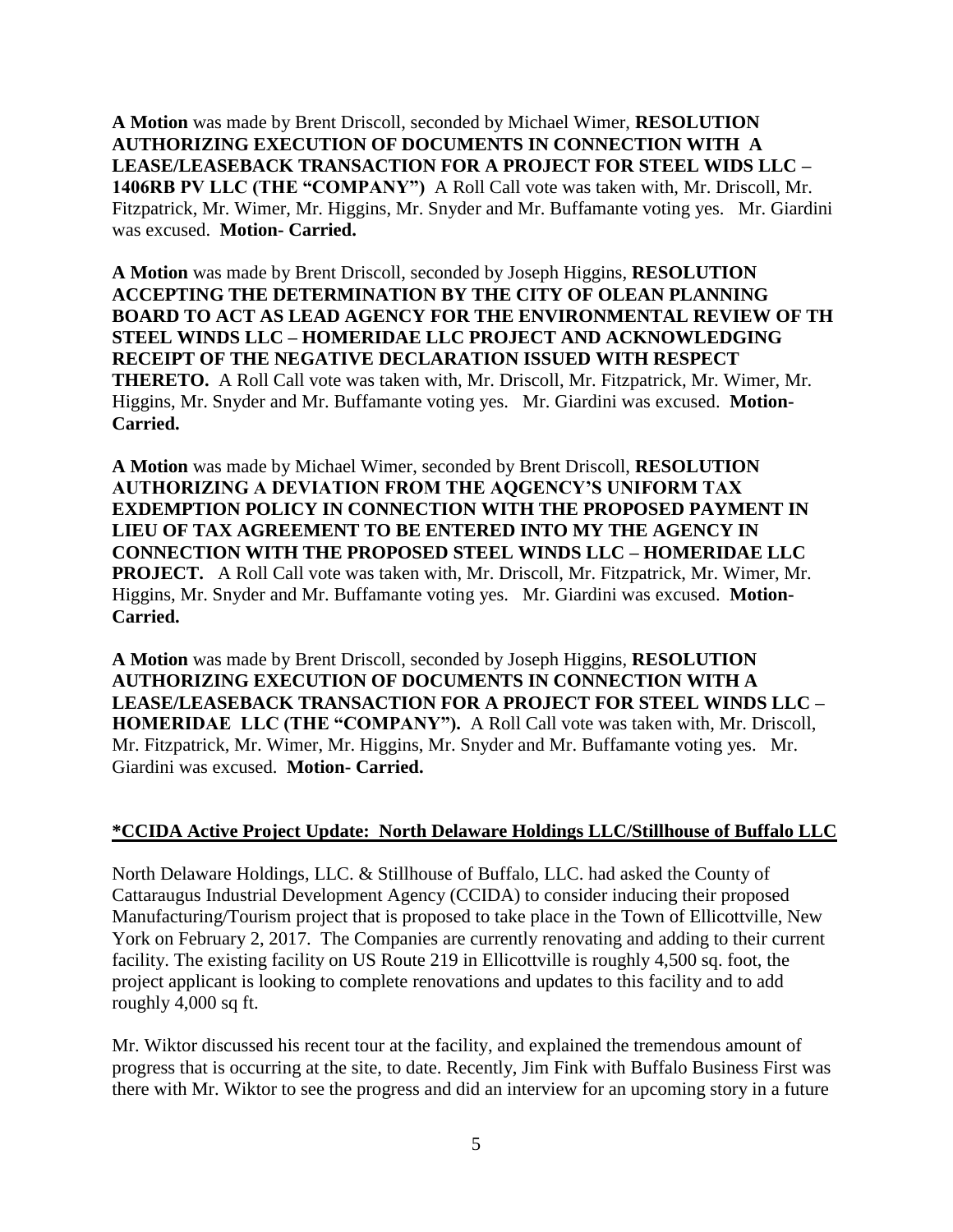**A Motion** was made by Brent Driscoll, seconded by Michael Wimer, **RESOLUTION AUTHORIZING EXECUTION OF DOCUMENTS IN CONNECTION WITH A LEASE/LEASEBACK TRANSACTION FOR A PROJECT FOR STEEL WIDS LLC – 1406RB PV LLC (THE "COMPANY")** A Roll Call vote was taken with, Mr. Driscoll, Mr. Fitzpatrick, Mr. Wimer, Mr. Higgins, Mr. Snyder and Mr. Buffamante voting yes. Mr. Giardini was excused. **Motion- Carried.**

**A Motion** was made by Brent Driscoll, seconded by Joseph Higgins, **RESOLUTION ACCEPTING THE DETERMINATION BY THE CITY OF OLEAN PLANNING BOARD TO ACT AS LEAD AGENCY FOR THE ENVIRONMENTAL REVIEW OF TH STEEL WINDS LLC – HOMERIDAE LLC PROJECT AND ACKNOWLEDGING RECEIPT OF THE NEGATIVE DECLARATION ISSUED WITH RESPECT THERETO.** A Roll Call vote was taken with, Mr. Driscoll, Mr. Fitzpatrick, Mr. Wimer, Mr. Higgins, Mr. Snyder and Mr. Buffamante voting yes. Mr. Giardini was excused. **Motion-Carried.**

**A Motion** was made by Michael Wimer, seconded by Brent Driscoll, **RESOLUTION AUTHORIZING A DEVIATION FROM THE AQGENCY'S UNIFORM TAX EXDEMPTION POLICY IN CONNECTION WITH THE PROPOSED PAYMENT IN LIEU OF TAX AGREEMENT TO BE ENTERED INTO MY THE AGENCY IN CONNECTION WITH THE PROPOSED STEEL WINDS LLC – HOMERIDAE LLC PROJECT.** A Roll Call vote was taken with, Mr. Driscoll, Mr. Fitzpatrick, Mr. Wimer, Mr. Higgins, Mr. Snyder and Mr. Buffamante voting yes. Mr. Giardini was excused. **Motion-Carried.**

**A Motion** was made by Brent Driscoll, seconded by Joseph Higgins, **RESOLUTION AUTHORIZING EXECUTION OF DOCUMENTS IN CONNECTION WITH A LEASE/LEASEBACK TRANSACTION FOR A PROJECT FOR STEEL WINDS LLC – HOMERIDAE LLC (THE "COMPANY").** A Roll Call vote was taken with, Mr. Driscoll, Mr. Fitzpatrick, Mr. Wimer, Mr. Higgins, Mr. Snyder and Mr. Buffamante voting yes. Mr. Giardini was excused. **Motion- Carried.**

# **\*CCIDA Active Project Update: North Delaware Holdings LLC/Stillhouse of Buffalo LLC**

North Delaware Holdings, LLC. & Stillhouse of Buffalo, LLC. had asked the County of Cattaraugus Industrial Development Agency (CCIDA) to consider inducing their proposed Manufacturing/Tourism project that is proposed to take place in the Town of Ellicottville, New York on February 2, 2017. The Companies are currently renovating and adding to their current facility. The existing facility on US Route 219 in Ellicottville is roughly 4,500 sq. foot, the project applicant is looking to complete renovations and updates to this facility and to add roughly 4,000 sq ft.

Mr. Wiktor discussed his recent tour at the facility, and explained the tremendous amount of progress that is occurring at the site, to date. Recently, Jim Fink with Buffalo Business First was there with Mr. Wiktor to see the progress and did an interview for an upcoming story in a future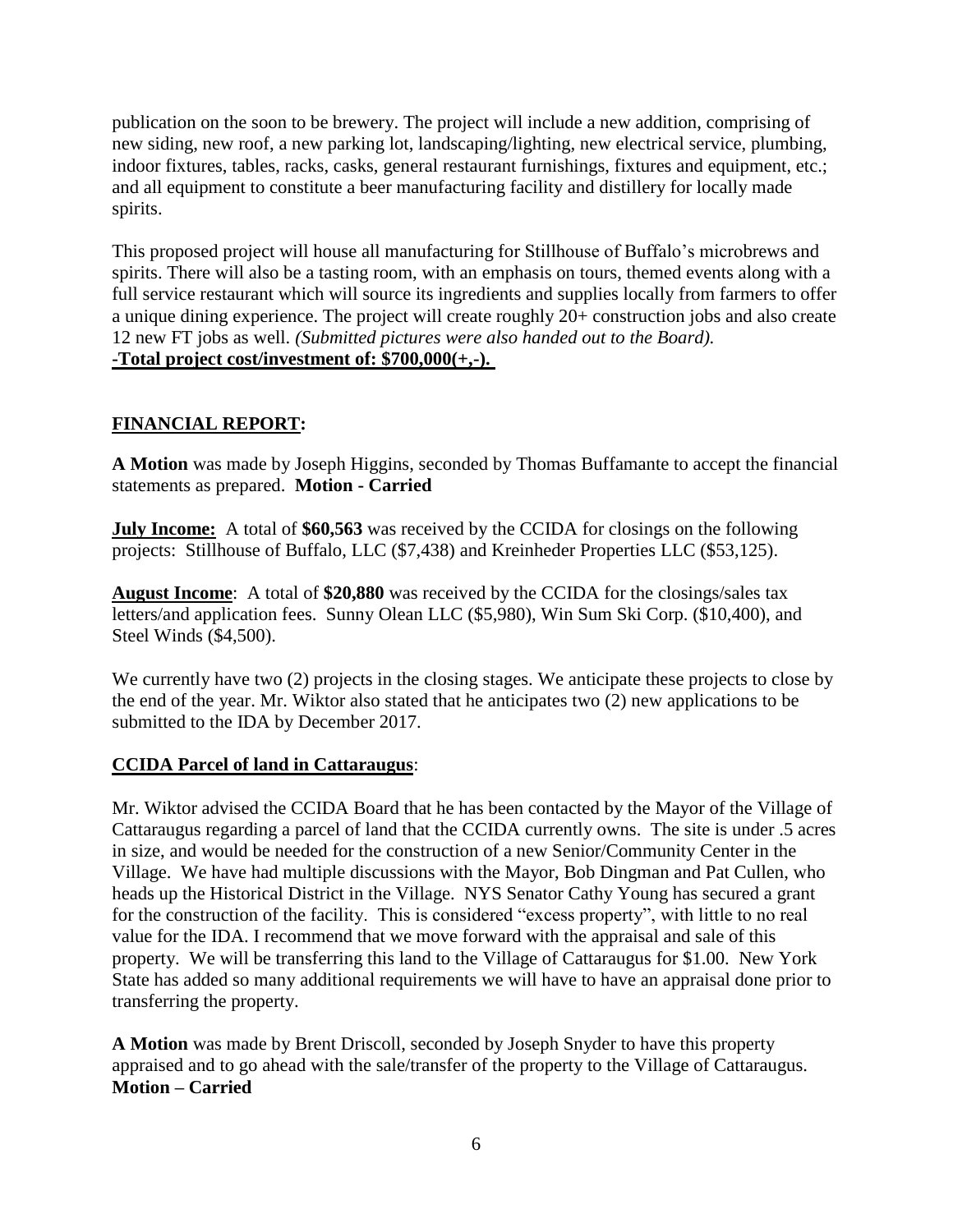publication on the soon to be brewery. The project will include a new addition, comprising of new siding, new roof, a new parking lot, landscaping/lighting, new electrical service, plumbing, indoor fixtures, tables, racks, casks, general restaurant furnishings, fixtures and equipment, etc.; and all equipment to constitute a beer manufacturing facility and distillery for locally made spirits.

This proposed project will house all manufacturing for Stillhouse of Buffalo's microbrews and spirits. There will also be a tasting room, with an emphasis on tours, themed events along with a full service restaurant which will source its ingredients and supplies locally from farmers to offer a unique dining experience. The project will create roughly 20+ construction jobs and also create 12 new FT jobs as well. *(Submitted pictures were also handed out to the Board).* **-Total project cost/investment of: \$700,000(+,-).**

# **FINANCIAL REPORT:**

**A Motion** was made by Joseph Higgins, seconded by Thomas Buffamante to accept the financial statements as prepared. **Motion - Carried**

**July Income:** A total of **\$60,563** was received by the CCIDA for closings on the following projects: Stillhouse of Buffalo, LLC (\$7,438) and Kreinheder Properties LLC (\$53,125).

**August Income**: A total of **\$20,880** was received by the CCIDA for the closings/sales tax letters/and application fees. Sunny Olean LLC (\$5,980), Win Sum Ski Corp. (\$10,400), and Steel Winds (\$4,500).

We currently have two (2) projects in the closing stages. We anticipate these projects to close by the end of the year. Mr. Wiktor also stated that he anticipates two (2) new applications to be submitted to the IDA by December 2017.

# **CCIDA Parcel of land in Cattaraugus**:

Mr. Wiktor advised the CCIDA Board that he has been contacted by the Mayor of the Village of Cattaraugus regarding a parcel of land that the CCIDA currently owns. The site is under .5 acres in size, and would be needed for the construction of a new Senior/Community Center in the Village. We have had multiple discussions with the Mayor, Bob Dingman and Pat Cullen, who heads up the Historical District in the Village. NYS Senator Cathy Young has secured a grant for the construction of the facility. This is considered "excess property", with little to no real value for the IDA. I recommend that we move forward with the appraisal and sale of this property. We will be transferring this land to the Village of Cattaraugus for \$1.00. New York State has added so many additional requirements we will have to have an appraisal done prior to transferring the property.

**A Motion** was made by Brent Driscoll, seconded by Joseph Snyder to have this property appraised and to go ahead with the sale/transfer of the property to the Village of Cattaraugus. **Motion – Carried**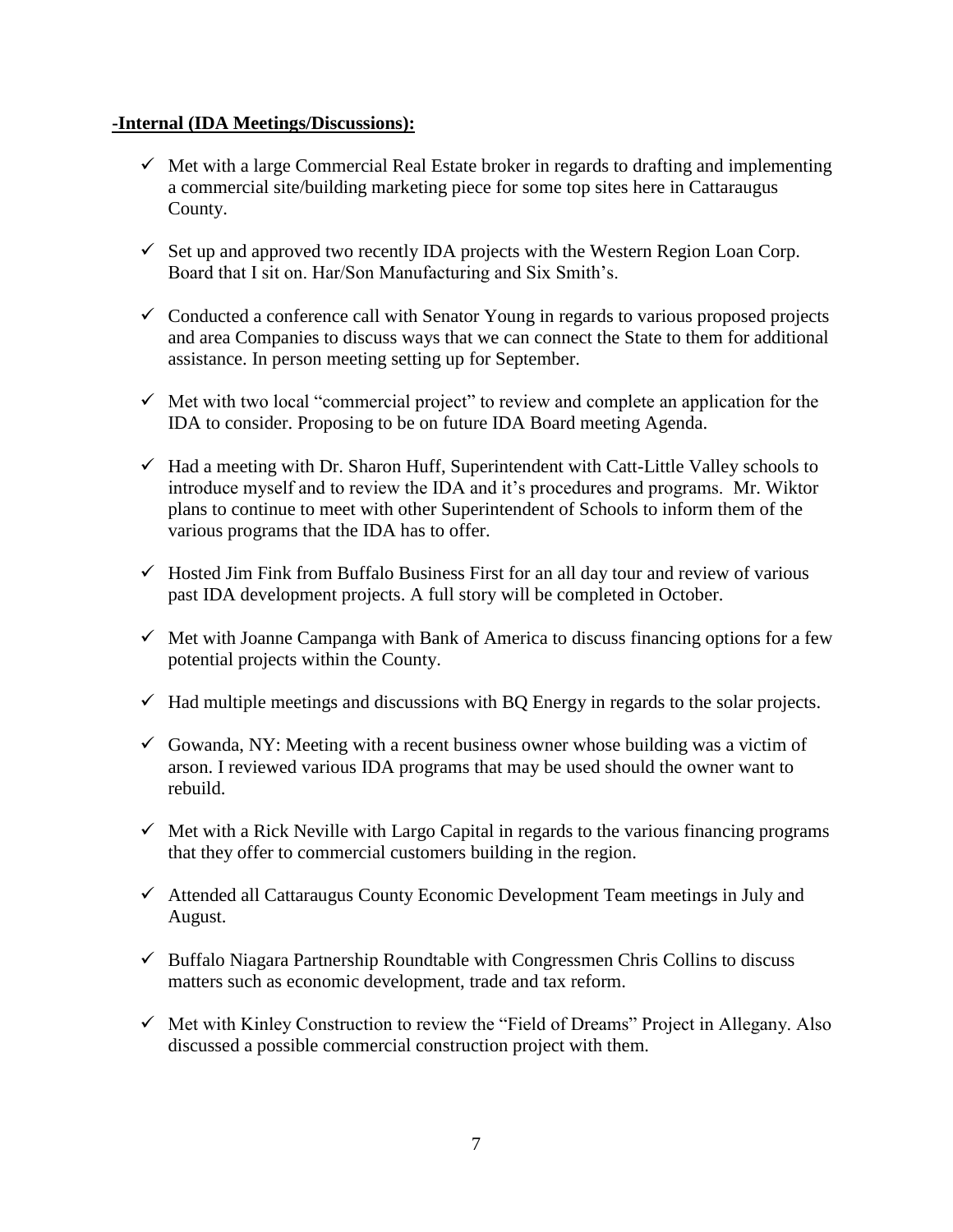#### **-Internal (IDA Meetings/Discussions):**

- $\checkmark$  Met with a large Commercial Real Estate broker in regards to drafting and implementing a commercial site/building marketing piece for some top sites here in Cattaraugus County.
- $\checkmark$  Set up and approved two recently IDA projects with the Western Region Loan Corp. Board that I sit on. Har/Son Manufacturing and Six Smith's.
- $\checkmark$  Conducted a conference call with Senator Young in regards to various proposed projects and area Companies to discuss ways that we can connect the State to them for additional assistance. In person meeting setting up for September.
- $\checkmark$  Met with two local "commercial project" to review and complete an application for the IDA to consider. Proposing to be on future IDA Board meeting Agenda.
- $\checkmark$  Had a meeting with Dr. Sharon Huff, Superintendent with Catt-Little Valley schools to introduce myself and to review the IDA and it's procedures and programs. Mr. Wiktor plans to continue to meet with other Superintendent of Schools to inform them of the various programs that the IDA has to offer.
- $\checkmark$  Hosted Jim Fink from Buffalo Business First for an all day tour and review of various past IDA development projects. A full story will be completed in October.
- $\checkmark$  Met with Joanne Campanga with Bank of America to discuss financing options for a few potential projects within the County.
- $\checkmark$  Had multiple meetings and discussions with BQ Energy in regards to the solar projects.
- $\checkmark$  Gowanda, NY: Meeting with a recent business owner whose building was a victim of arson. I reviewed various IDA programs that may be used should the owner want to rebuild.
- $\checkmark$  Met with a Rick Neville with Largo Capital in regards to the various financing programs that they offer to commercial customers building in the region.
- Attended all Cattaraugus County Economic Development Team meetings in July and August.
- $\checkmark$  Buffalo Niagara Partnership Roundtable with Congressmen Chris Collins to discuss matters such as economic development, trade and tax reform.
- $\checkmark$  Met with Kinley Construction to review the "Field of Dreams" Project in Allegany. Also discussed a possible commercial construction project with them.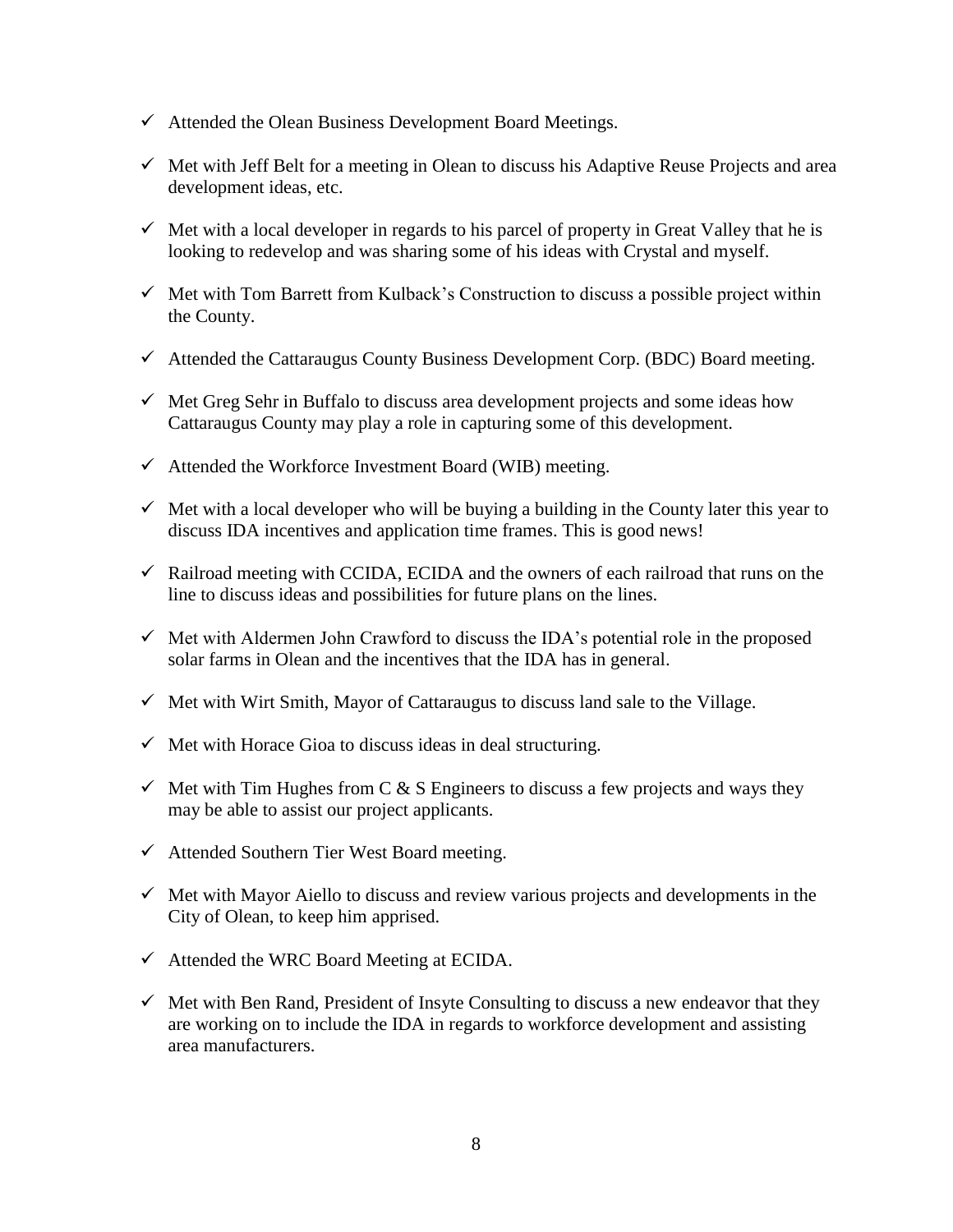- $\checkmark$  Attended the Olean Business Development Board Meetings.
- $\checkmark$  Met with Jeff Belt for a meeting in Olean to discuss his Adaptive Reuse Projects and area development ideas, etc.
- $\checkmark$  Met with a local developer in regards to his parcel of property in Great Valley that he is looking to redevelop and was sharing some of his ideas with Crystal and myself.
- $\checkmark$  Met with Tom Barrett from Kulback's Construction to discuss a possible project within the County.
- $\checkmark$  Attended the Cattaraugus County Business Development Corp. (BDC) Board meeting.
- $\checkmark$  Met Greg Sehr in Buffalo to discuss area development projects and some ideas how Cattaraugus County may play a role in capturing some of this development.
- $\checkmark$  Attended the Workforce Investment Board (WIB) meeting.
- $\checkmark$  Met with a local developer who will be buying a building in the County later this year to discuss IDA incentives and application time frames. This is good news!
- $\checkmark$  Railroad meeting with CCIDA, ECIDA and the owners of each railroad that runs on the line to discuss ideas and possibilities for future plans on the lines.
- $\checkmark$  Met with Aldermen John Crawford to discuss the IDA's potential role in the proposed solar farms in Olean and the incentives that the IDA has in general.
- $\checkmark$  Met with Wirt Smith, Mayor of Cattaraugus to discuss land sale to the Village.
- $\checkmark$  Met with Horace Gioa to discuss ideas in deal structuring.
- $\checkmark$  Met with Tim Hughes from C & S Engineers to discuss a few projects and ways they may be able to assist our project applicants.
- $\checkmark$  Attended Southern Tier West Board meeting.
- $\checkmark$  Met with Mayor Aiello to discuss and review various projects and developments in the City of Olean, to keep him apprised.
- $\checkmark$  Attended the WRC Board Meeting at ECIDA.
- $\checkmark$  Met with Ben Rand, President of Insyte Consulting to discuss a new endeavor that they are working on to include the IDA in regards to workforce development and assisting area manufacturers.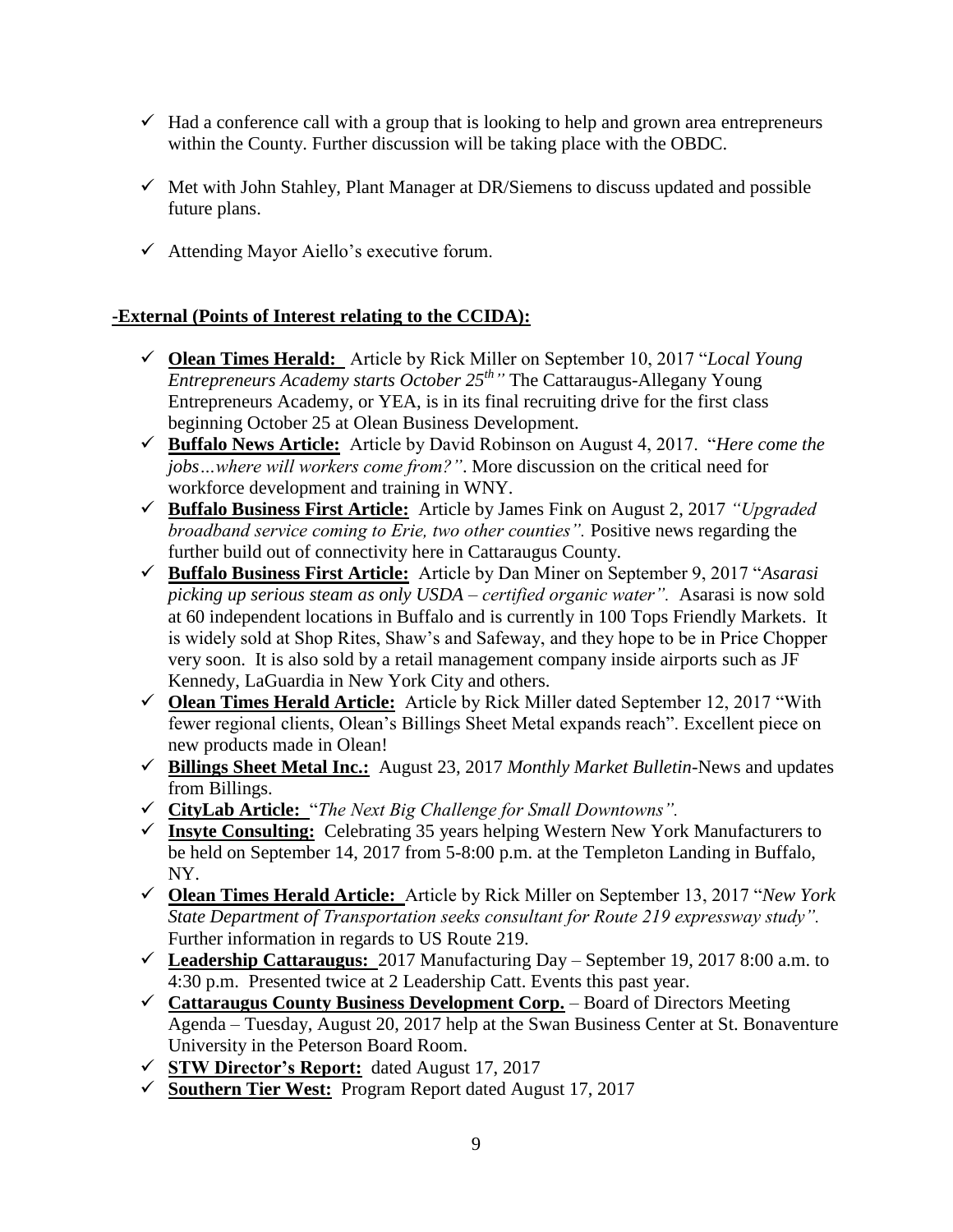- $\checkmark$  Had a conference call with a group that is looking to help and grown area entrepreneurs within the County. Further discussion will be taking place with the OBDC.
- $\checkmark$  Met with John Stahley, Plant Manager at DR/Siemens to discuss updated and possible future plans.
- $\checkmark$  Attending Mayor Aiello's executive forum.

# **-External (Points of Interest relating to the CCIDA):**

- **Olean Times Herald:** Article by Rick Miller on September 10, 2017 "*Local Young Entrepreneurs Academy starts October 25th "* The Cattaraugus-Allegany Young Entrepreneurs Academy, or YEA, is in its final recruiting drive for the first class beginning October 25 at Olean Business Development.
- **Buffalo News Article:** Article by David Robinson on August 4, 2017. "*Here come the jobs…where will workers come from?"*. More discussion on the critical need for workforce development and training in WNY.
- **Buffalo Business First Article:** Article by James Fink on August 2, 2017 *"Upgraded broadband service coming to Erie, two other counties"*. Positive news regarding the further build out of connectivity here in Cattaraugus County.
- **Buffalo Business First Article:** Article by Dan Miner on September 9, 2017 "*Asarasi picking up serious steam as only USDA – certified organic water".* Asarasi is now sold at 60 independent locations in Buffalo and is currently in 100 Tops Friendly Markets. It is widely sold at Shop Rites, Shaw's and Safeway, and they hope to be in Price Chopper very soon. It is also sold by a retail management company inside airports such as JF Kennedy, LaGuardia in New York City and others.
- **Olean Times Herald Article:** Article by Rick Miller dated September 12, 2017 "With fewer regional clients, Olean's Billings Sheet Metal expands reach". Excellent piece on new products made in Olean!
- **Billings Sheet Metal Inc.:** August 23, 2017 *Monthly Market Bulletin*-News and updates from Billings.
- **CityLab Article:** "*The Next Big Challenge for Small Downtowns".*
- **Insyte Consulting:** Celebrating 35 years helping Western New York Manufacturers to be held on September 14, 2017 from 5-8:00 p.m. at the Templeton Landing in Buffalo, NY.
- **Olean Times Herald Article:**Article by Rick Miller on September 13, 2017 "*New York State Department of Transportation seeks consultant for Route 219 expressway study".*  Further information in regards to US Route 219.
- **Leadership Cattaraugus:** 2017 Manufacturing Day September 19, 2017 8:00 a.m. to 4:30 p.m. Presented twice at 2 Leadership Catt. Events this past year.
- **Cattaraugus County Business Development Corp.** *–* Board of Directors Meeting Agenda – Tuesday, August 20, 2017 help at the Swan Business Center at St. Bonaventure University in the Peterson Board Room.
- **STW Director's Report:**dated August 17, 2017
- **Southern Tier West:**Program Report dated August 17, 2017